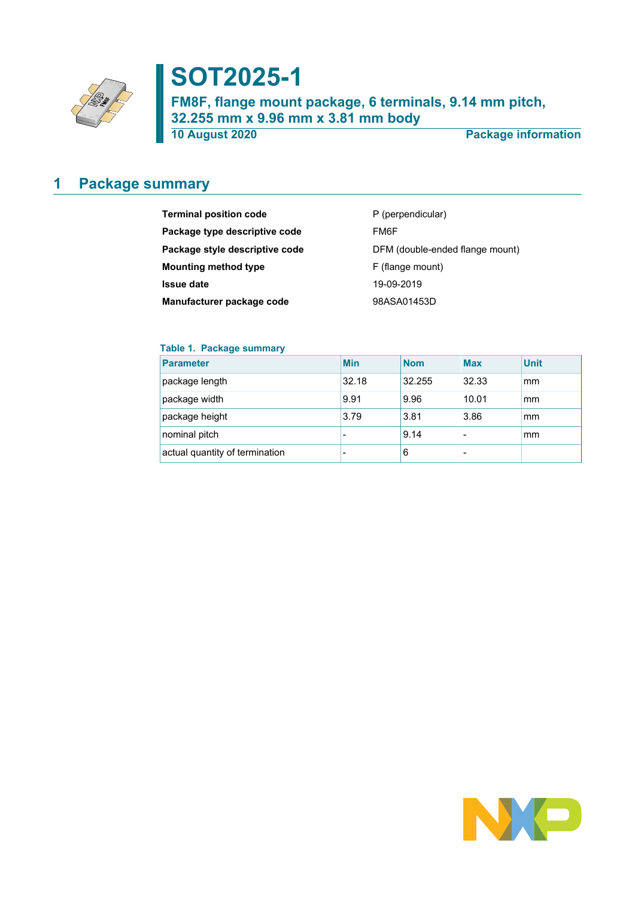

# **SOT2025-1**

**FM8F, flange mount package, 6 terminals, 9.14 mm pitch, 32.255 mm x 9.96 mm x 3.81 mm body**

**10 August 2020 Package information**

### <span id="page-0-0"></span>**1 Package summary**

| <b>Terminal position code</b>  | P (perpendicular)               |
|--------------------------------|---------------------------------|
| Package type descriptive code  | FM6F                            |
| Package style descriptive code | DFM (double-ended flange mount) |
| <b>Mounting method type</b>    | F (flange mount)                |
| <b>Issue date</b>              | 19-09-2019                      |
| Manufacturer package code      | 98ASA01453D                     |

### **Table 1. Package summary**

| <b>Parameter</b>               | <b>Min</b> | <b>Nom</b> | <b>Max</b> | <b>Unit</b> |
|--------------------------------|------------|------------|------------|-------------|
| package length                 | 32.18      | 32.255     | 32.33      | mm          |
| package width                  | 9.91       | 9.96       | 10.01      | mm          |
| package height                 | 3.79       | 3.81       | 3.86       | mm          |
| nominal pitch                  |            | 9.14       |            | mm          |
| actual quantity of termination |            | 6          |            |             |

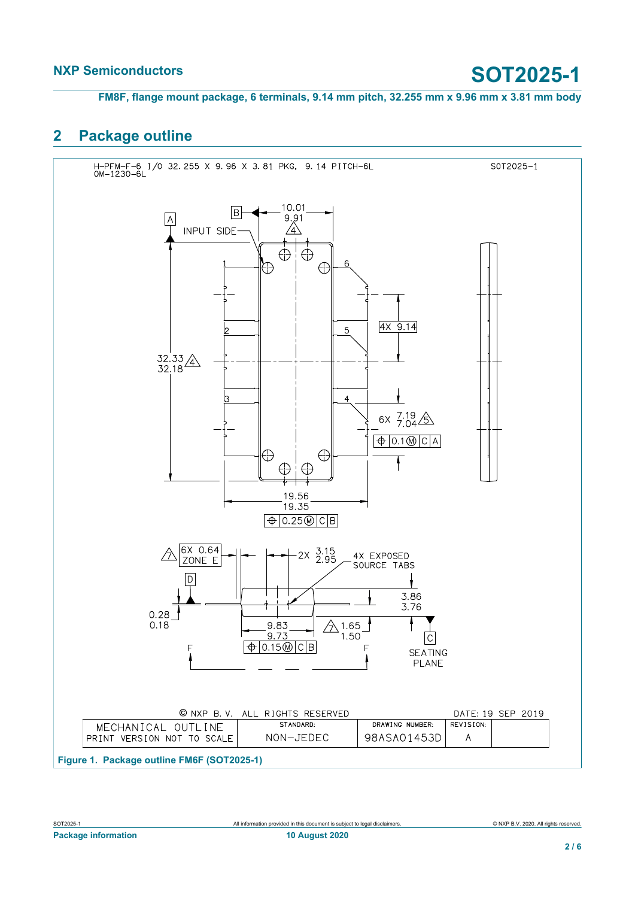**FM8F, flange mount package, 6 terminals, 9.14 mm pitch, 32.255 mm x 9.96 mm x 3.81 mm body**

### <span id="page-1-0"></span>**2 Package outline**

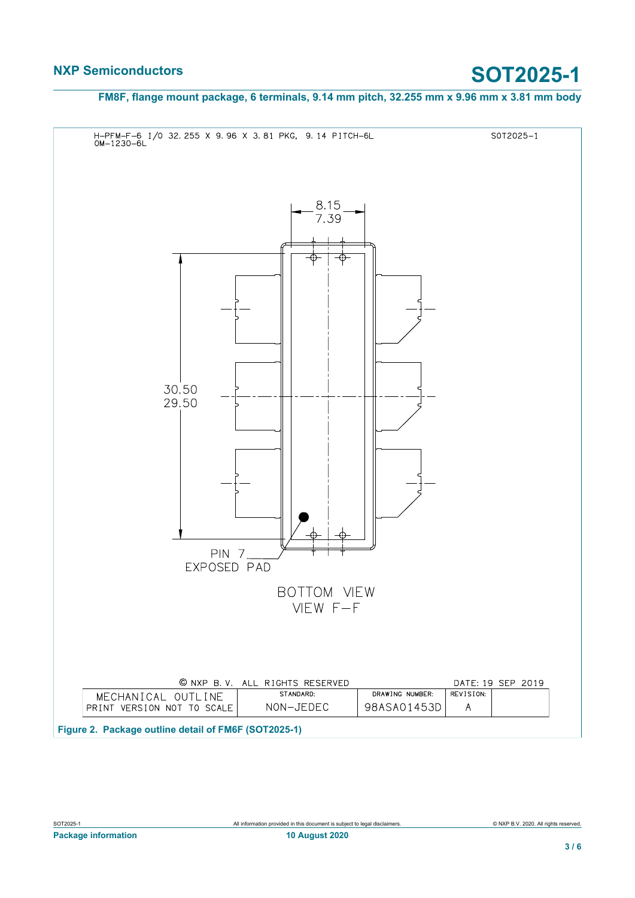**FM8F, flange mount package, 6 terminals, 9.14 mm pitch, 32.255 mm x 9.96 mm x 3.81 mm body**

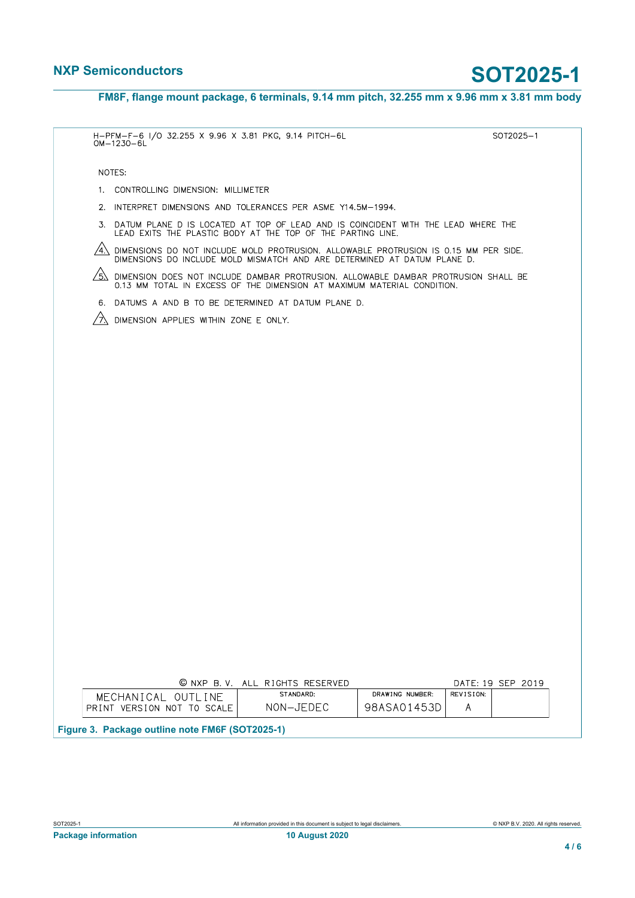**FM8F, flange mount package, 6 terminals, 9.14 mm pitch, 32.255 mm x 9.96 mm x 3.81 mm body**

| H-PFM-F-6 I/O 32.255 X 9.96 X 3.81 PKG, 9.14 PITCH-6L<br>$OM-1230-6L$                                                                                                        | SOT2025-1         |
|------------------------------------------------------------------------------------------------------------------------------------------------------------------------------|-------------------|
| NOTES:                                                                                                                                                                       |                   |
| CONTROLLING DIMENSION: MILLIMETER<br>1.                                                                                                                                      |                   |
| 2. INTERPRET DIMENSIONS AND TOLERANCES PER ASME Y14.5M-1994.                                                                                                                 |                   |
| 3. DATUM PLANE D IS LOCATED AT TOP OF LEAD AND IS COINCIDENT WITH THE LEAD WHERE THE<br>LEAD EXITS THE PLASTIC BODY AT THE TOP OF THE PARTING LINE.                          |                   |
| /4<br>DIMENSIONS DO NOT INCLUDE MOLD PROTRUSION. ALLOWABLE PROTRUSION IS 0.15 MM PER SIDE.<br>DIMENSIONS DO INCLUDE MOLD MISMATCH AND ARE DETERMINED AT DATUM PLANE D.       |                   |
| $/5\lambda$<br>DIMENSION DOES NOT INCLUDE DAMBAR PROTRUSION. ALLOWABLE DAMBAR PROTRUSION SHALL BE<br>0.13 MM TOTAL IN EXCESS OF THE DIMENSION AT MAXIMUM MATERIAL CONDITION. |                   |
| 6. DATUMS A AND B TO BE DETERMINED AT DATUM PLANE D.                                                                                                                         |                   |
| ∕7`.<br>DIMENSION APPLIES WITHIN ZONE E ONLY.                                                                                                                                |                   |
|                                                                                                                                                                              |                   |
|                                                                                                                                                                              |                   |
|                                                                                                                                                                              |                   |
|                                                                                                                                                                              |                   |
|                                                                                                                                                                              |                   |
|                                                                                                                                                                              |                   |
|                                                                                                                                                                              |                   |
|                                                                                                                                                                              |                   |
|                                                                                                                                                                              |                   |
|                                                                                                                                                                              |                   |
|                                                                                                                                                                              |                   |
|                                                                                                                                                                              |                   |
|                                                                                                                                                                              |                   |
|                                                                                                                                                                              |                   |
|                                                                                                                                                                              |                   |
|                                                                                                                                                                              |                   |
|                                                                                                                                                                              |                   |
|                                                                                                                                                                              |                   |
|                                                                                                                                                                              |                   |
| © NXP B.V. ALL RIGHTS RESERVED                                                                                                                                               | DATE: 19 SEP 2019 |
| STANDARD:<br>DRAWING NUMBER:<br>MECHANICAL OUTLINE                                                                                                                           | REVISION:         |

| Figure 3. Package outline note FM6F (SOT2025-1) |                              |                   |                   |   |  |  |
|-------------------------------------------------|------------------------------|-------------------|-------------------|---|--|--|
|                                                 | PRINT VERSION NOT TO SCALE I | NON-JEDEC         | 98ASA01453DI      |   |  |  |
|                                                 | MECHANICAL OUTLINE           | <u>JIINDINNU.</u> | DIVITIIVS ROMDER. | . |  |  |

**Package information 10 August 2020**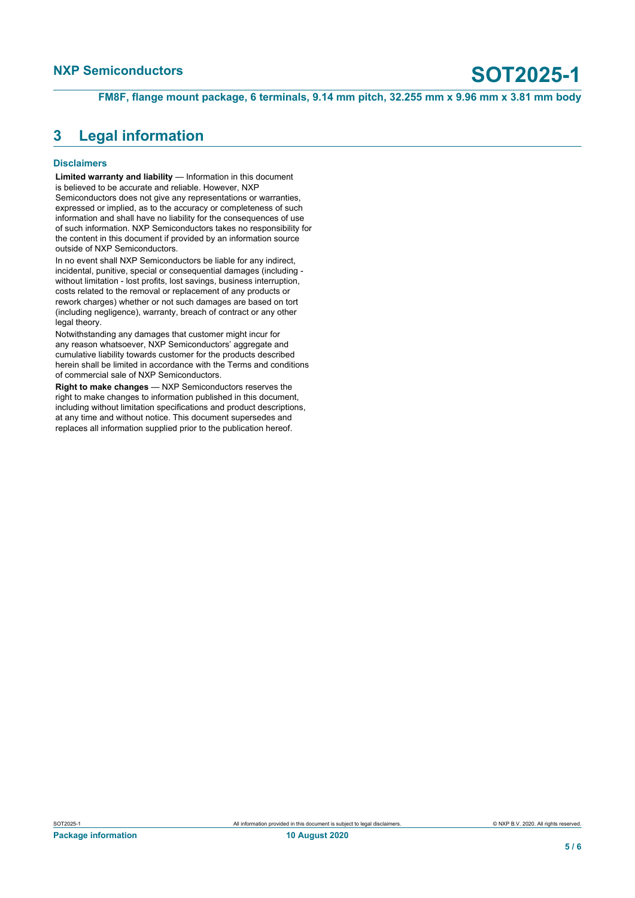**FM8F, flange mount package, 6 terminals, 9.14 mm pitch, 32.255 mm x 9.96 mm x 3.81 mm body**

### <span id="page-4-0"></span>**3 Legal information**

### **Disclaimers**

**Limited warranty and liability** — Information in this document is believed to be accurate and reliable. However, NXP Semiconductors does not give any representations or warranties, expressed or implied, as to the accuracy or completeness of such information and shall have no liability for the consequences of use of such information. NXP Semiconductors takes no responsibility for the content in this document if provided by an information source outside of NXP Semiconductors.

In no event shall NXP Semiconductors be liable for any indirect, incidental, punitive, special or consequential damages (including without limitation - lost profits, lost savings, business interruption, costs related to the removal or replacement of any products or rework charges) whether or not such damages are based on tort (including negligence), warranty, breach of contract or any other legal theory.

Notwithstanding any damages that customer might incur for any reason whatsoever, NXP Semiconductors' aggregate and cumulative liability towards customer for the products described herein shall be limited in accordance with the Terms and conditions of commercial sale of NXP Semiconductors.

**Right to make changes** — NXP Semiconductors reserves the right to make changes to information published in this document, including without limitation specifications and product descriptions, at any time and without notice. This document supersedes and replaces all information supplied prior to the publication hereof.